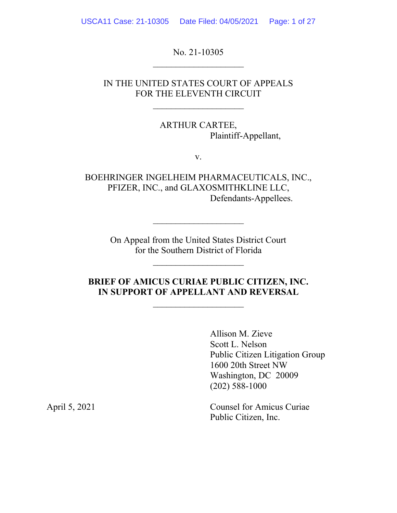USCA11 Case: 21-10305 Date Filed: 04/05/2021 Page: 1 of 27

No. 21-10305

### IN THE UNITED STATES COURT OF APPEALS FOR THE ELEVENTH CIRCUIT

ARTHUR CARTEE, Plaintiff-Appellant,

v.

BOEHRINGER INGELHEIM PHARMACEUTICALS, INC., PFIZER, INC., and GLAXOSMITHKLINE LLC, Defendants-Appellees.

> On Appeal from the United States District Court for the Southern District of Florida

 $\mathcal{L}_\text{max}$  , where  $\mathcal{L}_\text{max}$ 

### **BRIEF OF AMICUS CURIAE PUBLIC CITIZEN, INC. IN SUPPORT OF APPELLANT AND REVERSAL**

Allison M. Zieve Scott L. Nelson Public Citizen Litigation Group 1600 20th Street NW Washington, DC 20009 (202) 588-1000

April 5, 2021 Counsel for Amicus Curiae Public Citizen, Inc.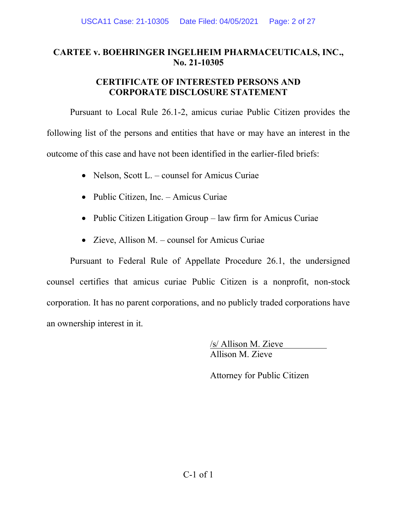## **CARTEE v. BOEHRINGER INGELHEIM PHARMACEUTICALS, INC., No. 21-10305**

### **CERTIFICATE OF INTERESTED PERSONS AND CORPORATE DISCLOSURE STATEMENT**

Pursuant to Local Rule 26.1-2, amicus curiae Public Citizen provides the following list of the persons and entities that have or may have an interest in the outcome of this case and have not been identified in the earlier-filed briefs:

- Nelson, Scott L. counsel for Amicus Curiae
- Public Citizen, Inc. Amicus Curiae
- Public Citizen Litigation Group law firm for Amicus Curiae
- Zieve, Allison M. counsel for Amicus Curiae

Pursuant to Federal Rule of Appellate Procedure 26.1, the undersigned counsel certifies that amicus curiae Public Citizen is a nonprofit, non-stock corporation. It has no parent corporations, and no publicly traded corporations have an ownership interest in it.

> /s/ Allison M. Zieve Allison M. Zieve

Attorney for Public Citizen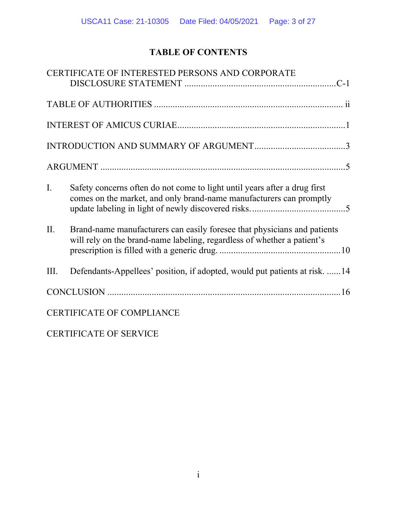# **TABLE OF CONTENTS**

|      | CERTIFICATE OF INTERESTED PERSONS AND CORPORATE                                                                                                     |
|------|-----------------------------------------------------------------------------------------------------------------------------------------------------|
|      |                                                                                                                                                     |
|      |                                                                                                                                                     |
|      |                                                                                                                                                     |
|      |                                                                                                                                                     |
| I.   | Safety concerns often do not come to light until years after a drug first<br>comes on the market, and only brand-name manufacturers can promptly    |
| П.   | Brand-name manufacturers can easily foresee that physicians and patients<br>will rely on the brand-name labeling, regardless of whether a patient's |
| III. | Defendants-Appellees' position, if adopted, would put patients at risk. 14                                                                          |
|      |                                                                                                                                                     |
|      | <b>CERTIFICATE OF COMPLIANCE</b>                                                                                                                    |

CERTIFICATE OF SERVICE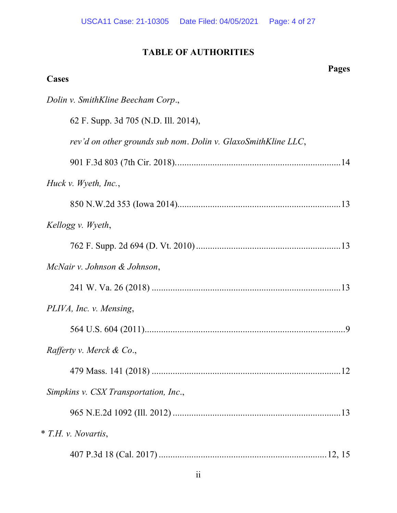# **TABLE OF AUTHORITIES**

| Pages<br>Cases                                                |
|---------------------------------------------------------------|
| Dolin v. SmithKline Beecham Corp.,                            |
| 62 F. Supp. 3d 705 (N.D. Ill. 2014),                          |
| rev'd on other grounds sub nom. Dolin v. GlaxoSmithKline LLC, |
|                                                               |
| Huck v. Wyeth, Inc.,                                          |
|                                                               |
| Kellogg v. Wyeth,                                             |
|                                                               |
| McNair v. Johnson & Johnson,                                  |
|                                                               |
| PLIVA, Inc. v. Mensing,                                       |
|                                                               |
| Rafferty v. Merck & Co.,                                      |
|                                                               |
| Simpkins v. CSX Transportation, Inc.,                         |
|                                                               |
| <i>* T.H. v. Novartis,</i>                                    |
|                                                               |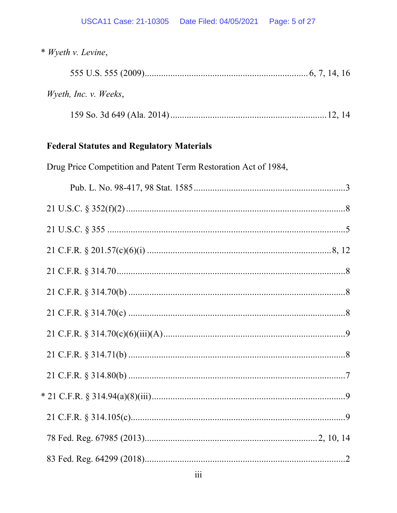| * Wyeth v. Levine,                                              |  |
|-----------------------------------------------------------------|--|
|                                                                 |  |
| Wyeth, Inc. v. Weeks,                                           |  |
|                                                                 |  |
| <b>Federal Statutes and Regulatory Materials</b>                |  |
| Drug Price Competition and Patent Term Restoration Act of 1984, |  |
|                                                                 |  |
|                                                                 |  |
|                                                                 |  |
|                                                                 |  |
|                                                                 |  |
|                                                                 |  |
|                                                                 |  |
|                                                                 |  |
|                                                                 |  |
|                                                                 |  |
|                                                                 |  |
|                                                                 |  |
|                                                                 |  |
|                                                                 |  |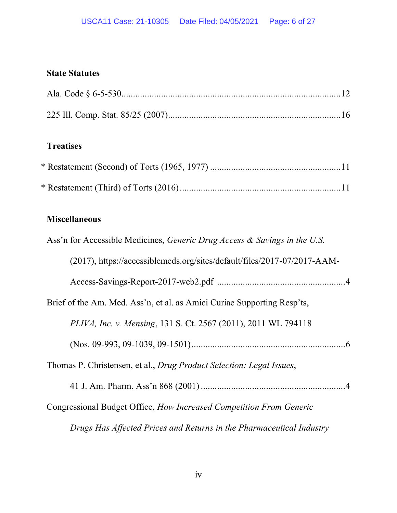# **State Statutes**

# **Treatises**

# **Miscellaneous**

| Ass'n for Accessible Medicines, Generic Drug Access & Savings in the U.S. |  |
|---------------------------------------------------------------------------|--|
| (2017), https://accessiblemeds.org/sites/default/files/2017-07/2017-AAM-  |  |
|                                                                           |  |
| Brief of the Am. Med. Ass'n, et al. as Amici Curiae Supporting Resp'ts,   |  |
| PLIVA, Inc. v. Mensing, 131 S. Ct. 2567 (2011), 2011 WL 794118            |  |
|                                                                           |  |
| Thomas P. Christensen, et al., Drug Product Selection: Legal Issues,      |  |
|                                                                           |  |
| Congressional Budget Office, How Increased Competition From Generic       |  |
| Drugs Has Affected Prices and Returns in the Pharmaceutical Industry      |  |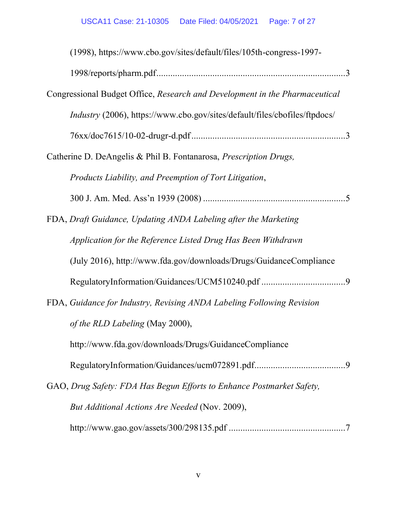| (1998), https://www.cbo.gov/sites/default/files/105th-congress-1997-              |
|-----------------------------------------------------------------------------------|
|                                                                                   |
| Congressional Budget Office, Research and Development in the Pharmaceutical       |
| <i>Industry</i> (2006), https://www.cbo.gov/sites/default/files/cbofiles/ftpdocs/ |
|                                                                                   |
| Catherine D. DeAngelis & Phil B. Fontanarosa, <i>Prescription Drugs</i> ,         |
| Products Liability, and Preemption of Tort Litigation,                            |
|                                                                                   |
| FDA, Draft Guidance, Updating ANDA Labeling after the Marketing                   |
| Application for the Reference Listed Drug Has Been Withdrawn                      |
| (July 2016), http://www.fda.gov/downloads/Drugs/GuidanceCompliance                |
|                                                                                   |
| FDA, Guidance for Industry, Revising ANDA Labeling Following Revision             |
| of the RLD Labeling (May 2000),                                                   |
| http://www.fda.gov/downloads/Drugs/GuidanceCompliance                             |
|                                                                                   |
| GAO, Drug Safety: FDA Has Begun Efforts to Enhance Postmarket Safety,             |
| But Additional Actions Are Needed (Nov. 2009),                                    |
|                                                                                   |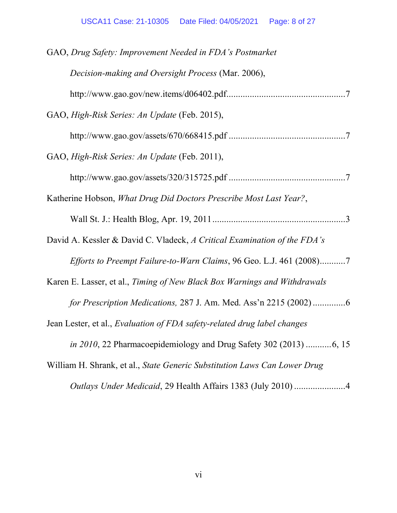| GAO, Drug Safety: Improvement Needed in FDA's Postmarket                        |
|---------------------------------------------------------------------------------|
| Decision-making and Oversight Process (Mar. 2006),                              |
|                                                                                 |
| GAO, High-Risk Series: An Update (Feb. 2015),                                   |
|                                                                                 |
| GAO, High-Risk Series: An Update (Feb. 2011),                                   |
|                                                                                 |
| Katherine Hobson, What Drug Did Doctors Prescribe Most Last Year?,              |
|                                                                                 |
| David A. Kessler & David C. Vladeck, A Critical Examination of the FDA's        |
| <i>Efforts to Preempt Failure-to-Warn Claims, 96 Geo. L.J. 461 (2008)7</i>      |
| Karen E. Lasser, et al., Timing of New Black Box Warnings and Withdrawals       |
| for Prescription Medications, 287 J. Am. Med. Ass'n 2215 (2002) 6               |
| Jean Lester, et al., <i>Evaluation of FDA safety-related drug label changes</i> |
| <i>in 2010</i> , 22 Pharmacoepidemiology and Drug Safety 302 (2013) 6, 15       |
| William H. Shrank, et al., State Generic Substitution Laws Can Lower Drug       |
| Outlays Under Medicaid, 29 Health Affairs 1383 (July 2010) 4                    |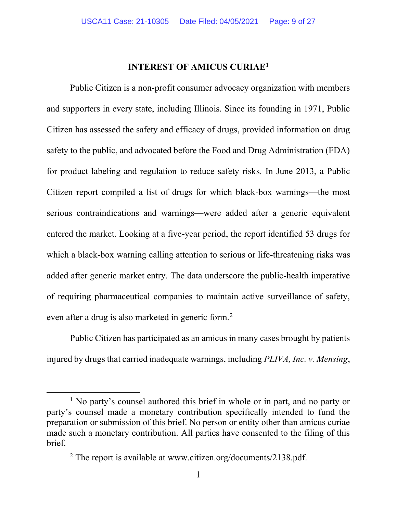### **INTEREST OF AMICUS CURIAE<sup>1</sup>**

Public Citizen is a non-profit consumer advocacy organization with members and supporters in every state, including Illinois. Since its founding in 1971, Public Citizen has assessed the safety and efficacy of drugs, provided information on drug safety to the public, and advocated before the Food and Drug Administration (FDA) for product labeling and regulation to reduce safety risks. In June 2013, a Public Citizen report compiled a list of drugs for which black-box warnings—the most serious contraindications and warnings—were added after a generic equivalent entered the market. Looking at a five-year period, the report identified 53 drugs for which a black-box warning calling attention to serious or life-threatening risks was added after generic market entry. The data underscore the public-health imperative of requiring pharmaceutical companies to maintain active surveillance of safety, even after a drug is also marketed in generic form.<sup>2</sup>

Public Citizen has participated as an amicus in many cases brought by patients injured by drugs that carried inadequate warnings, including *PLIVA, Inc. v. Mensing*,

<sup>&</sup>lt;sup>1</sup> No party's counsel authored this brief in whole or in part, and no party or party's counsel made a monetary contribution specifically intended to fund the preparation or submission of this brief. No person or entity other than amicus curiae made such a monetary contribution. All parties have consented to the filing of this brief.

<sup>&</sup>lt;sup>2</sup> The report is available at www.citizen.org/documents/2138.pdf.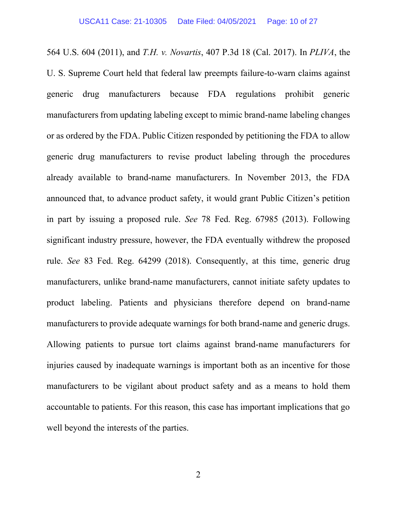564 U.S. 604 (2011), and *T.H. v. Novartis*, 407 P.3d 18 (Cal. 2017). In *PLIVA*, the U. S. Supreme Court held that federal law preempts failure-to-warn claims against generic drug manufacturers because FDA regulations prohibit generic manufacturers from updating labeling except to mimic brand-name labeling changes or as ordered by the FDA. Public Citizen responded by petitioning the FDA to allow generic drug manufacturers to revise product labeling through the procedures already available to brand-name manufacturers. In November 2013, the FDA announced that, to advance product safety, it would grant Public Citizen's petition in part by issuing a proposed rule. *See* 78 Fed. Reg. 67985 (2013). Following significant industry pressure, however, the FDA eventually withdrew the proposed rule. *See* 83 Fed. Reg. 64299 (2018). Consequently, at this time, generic drug manufacturers, unlike brand-name manufacturers, cannot initiate safety updates to product labeling. Patients and physicians therefore depend on brand-name manufacturers to provide adequate warnings for both brand-name and generic drugs. Allowing patients to pursue tort claims against brand-name manufacturers for injuries caused by inadequate warnings is important both as an incentive for those manufacturers to be vigilant about product safety and as a means to hold them accountable to patients. For this reason, this case has important implications that go well beyond the interests of the parties.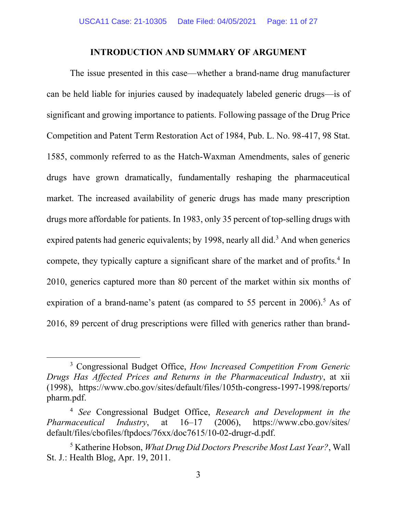#### **INTRODUCTION AND SUMMARY OF ARGUMENT**

The issue presented in this case—whether a brand-name drug manufacturer can be held liable for injuries caused by inadequately labeled generic drugs—is of significant and growing importance to patients. Following passage of the Drug Price Competition and Patent Term Restoration Act of 1984, Pub. L. No. 98-417, 98 Stat. 1585, commonly referred to as the Hatch-Waxman Amendments, sales of generic drugs have grown dramatically, fundamentally reshaping the pharmaceutical market. The increased availability of generic drugs has made many prescription drugs more affordable for patients. In 1983, only 35 percent of top-selling drugs with expired patents had generic equivalents; by 1998, nearly all did.<sup>3</sup> And when generics compete, they typically capture a significant share of the market and of profits.<sup>4</sup> In 2010, generics captured more than 80 percent of the market within six months of expiration of a brand-name's patent (as compared to 55 percent in  $2006$ ).<sup>5</sup> As of 2016, 89 percent of drug prescriptions were filled with generics rather than brand-

<sup>3</sup> Congressional Budget Office, *How Increased Competition From Generic Drugs Has Affected Prices and Returns in the Pharmaceutical Industry*, at xii (1998), https://www.cbo.gov/sites/default/files/105th-congress-1997-1998/reports/ pharm.pdf.

<sup>4</sup> *See* Congressional Budget Office, *Research and Development in the Pharmaceutical Industry*, at 16–17 (2006), https://www.cbo.gov/sites/ default/files/cbofiles/ftpdocs/76xx/doc7615/10-02-drugr-d.pdf.

<sup>5</sup> Katherine Hobson, *What Drug Did Doctors Prescribe Most Last Year?*, Wall St. J.: Health Blog, Apr. 19, 2011.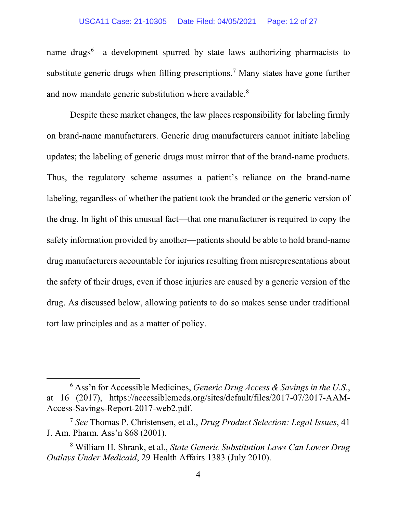name drugs<sup>6</sup>—a development spurred by state laws authorizing pharmacists to substitute generic drugs when filling prescriptions.<sup>7</sup> Many states have gone further and now mandate generic substitution where available.<sup>8</sup>

Despite these market changes, the law places responsibility for labeling firmly on brand-name manufacturers. Generic drug manufacturers cannot initiate labeling updates; the labeling of generic drugs must mirror that of the brand-name products. Thus, the regulatory scheme assumes a patient's reliance on the brand-name labeling, regardless of whether the patient took the branded or the generic version of the drug. In light of this unusual fact—that one manufacturer is required to copy the safety information provided by another—patients should be able to hold brand-name drug manufacturers accountable for injuries resulting from misrepresentations about the safety of their drugs, even if those injuries are caused by a generic version of the drug. As discussed below, allowing patients to do so makes sense under traditional tort law principles and as a matter of policy.

<sup>6</sup> Ass'n for Accessible Medicines, *Generic Drug Access & Savings in the U.S.*, at 16 (2017), https://accessiblemeds.org/sites/default/files/2017-07/2017-AAM-Access-Savings-Report-2017-web2.pdf.

<sup>7</sup> *See* Thomas P. Christensen, et al., *Drug Product Selection: Legal Issues*, 41 J. Am. Pharm. Ass'n 868 (2001).

<sup>8</sup> William H. Shrank, et al., *State Generic Substitution Laws Can Lower Drug Outlays Under Medicaid*, 29 Health Affairs 1383 (July 2010).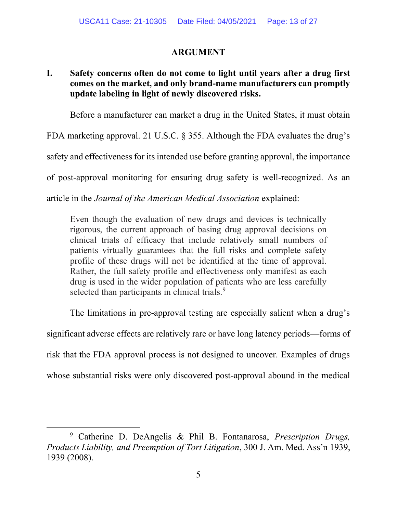### **ARGUMENT**

## **I. Safety concerns often do not come to light until years after a drug first comes on the market, and only brand-name manufacturers can promptly update labeling in light of newly discovered risks.**

Before a manufacturer can market a drug in the United States, it must obtain

FDA marketing approval. 21 U.S.C. § 355. Although the FDA evaluates the drug's

safety and effectiveness for its intended use before granting approval, the importance

of post-approval monitoring for ensuring drug safety is well-recognized. As an

article in the *Journal of the American Medical Association* explained:

Even though the evaluation of new drugs and devices is technically rigorous, the current approach of basing drug approval decisions on clinical trials of efficacy that include relatively small numbers of patients virtually guarantees that the full risks and complete safety profile of these drugs will not be identified at the time of approval. Rather, the full safety profile and effectiveness only manifest as each drug is used in the wider population of patients who are less carefully selected than participants in clinical trials.<sup>9</sup>

The limitations in pre-approval testing are especially salient when a drug's

significant adverse effects are relatively rare or have long latency periods—forms of

risk that the FDA approval process is not designed to uncover. Examples of drugs

whose substantial risks were only discovered post-approval abound in the medical

<sup>9</sup> Catherine D. DeAngelis & Phil B. Fontanarosa, *Prescription Drugs, Products Liability, and Preemption of Tort Litigation*, 300 J. Am. Med. Ass'n 1939, 1939 (2008).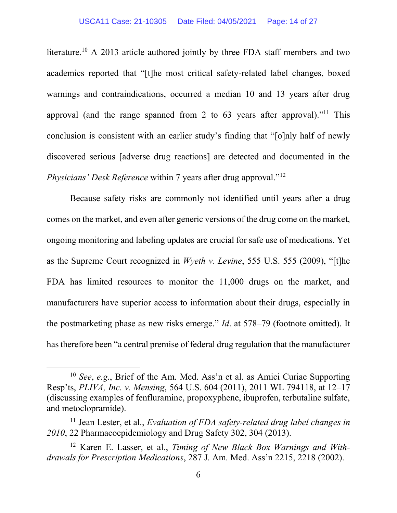literature.<sup>10</sup> A 2013 article authored jointly by three FDA staff members and two academics reported that "[t]he most critical safety-related label changes, boxed warnings and contraindications, occurred a median 10 and 13 years after drug approval (and the range spanned from 2 to 63 years after approval)."<sup>11</sup> This conclusion is consistent with an earlier study's finding that "[o]nly half of newly discovered serious [adverse drug reactions] are detected and documented in the *Physicians' Desk Reference* within 7 years after drug approval."<sup>12</sup>

Because safety risks are commonly not identified until years after a drug comes on the market, and even after generic versions of the drug come on the market, ongoing monitoring and labeling updates are crucial for safe use of medications. Yet as the Supreme Court recognized in *Wyeth v. Levine*, 555 U.S. 555 (2009), "[t]he FDA has limited resources to monitor the 11,000 drugs on the market, and manufacturers have superior access to information about their drugs, especially in the postmarketing phase as new risks emerge." *Id*. at 578–79 (footnote omitted). It has therefore been "a central premise of federal drug regulation that the manufacturer

<sup>10</sup> *See*, *e.g*., Brief of the Am. Med. Ass'n et al. as Amici Curiae Supporting Resp'ts, *PLIVA, Inc. v. Mensing*, 564 U.S. 604 (2011), 2011 WL 794118, at 12–17 (discussing examples of fenfluramine, propoxyphene, ibuprofen, terbutaline sulfate, and metoclopramide).

<sup>&</sup>lt;sup>11</sup> Jean Lester, et al., *Evaluation of FDA safety-related drug label changes in 2010*, 22 Pharmacoepidemiology and Drug Safety 302, 304 (2013).

<sup>12</sup> Karen E. Lasser, et al., *Timing of New Black Box Warnings and Withdrawals for Prescription Medications*, 287 J. Am. Med. Ass'n 2215, 2218 (2002).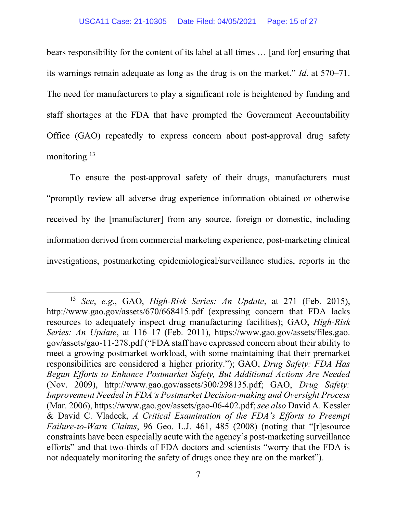bears responsibility for the content of its label at all times … [and for] ensuring that its warnings remain adequate as long as the drug is on the market." *Id*. at 570–71. The need for manufacturers to play a significant role is heightened by funding and staff shortages at the FDA that have prompted the Government Accountability Office (GAO) repeatedly to express concern about post-approval drug safety monitoring.<sup>13</sup>

To ensure the post-approval safety of their drugs, manufacturers must "promptly review all adverse drug experience information obtained or otherwise received by the [manufacturer] from any source, foreign or domestic, including information derived from commercial marketing experience, post-marketing clinical investigations, postmarketing epidemiological/surveillance studies, reports in the

<sup>13</sup> *See*, *e.g*., GAO, *High-Risk Series: An Update*, at 271 (Feb. 2015), http://www.gao.gov/assets/670/668415.pdf (expressing concern that FDA lacks resources to adequately inspect drug manufacturing facilities); GAO, *High-Risk Series: An Update*, at 116–17 (Feb. 2011), https://www.gao.gov/assets/files.gao. gov/assets/gao-11-278.pdf ("FDA staff have expressed concern about their ability to meet a growing postmarket workload, with some maintaining that their premarket responsibilities are considered a higher priority."); GAO, *Drug Safety: FDA Has Begun Efforts to Enhance Postmarket Safety, But Additional Actions Are Needed* (Nov. 2009), http://www.gao.gov/assets/300/298135.pdf; GAO, *Drug Safety: Improvement Needed in FDA's Postmarket Decision-making and Oversight Process* (Mar. 2006), https://www.gao.gov/assets/gao-06-402.pdf; *see also* David A. Kessler & David C. Vladeck, *A Critical Examination of the FDA's Efforts to Preempt Failure-to-Warn Claims*, 96 Geo. L.J. 461, 485 (2008) (noting that "[r]esource constraints have been especially acute with the agency's post-marketing surveillance efforts" and that two-thirds of FDA doctors and scientists "worry that the FDA is not adequately monitoring the safety of drugs once they are on the market").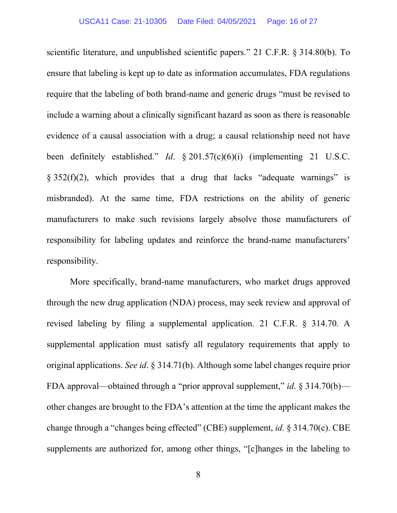scientific literature, and unpublished scientific papers." 21 C.F.R. § 314.80(b). To ensure that labeling is kept up to date as information accumulates, FDA regulations require that the labeling of both brand-name and generic drugs "must be revised to include a warning about a clinically significant hazard as soon as there is reasonable evidence of a causal association with a drug; a causal relationship need not have been definitely established." *Id*. § 201.57(c)(6)(i) (implementing 21 U.S.C.  $§ 352(f)(2)$ , which provides that a drug that lacks "adequate warnings" is misbranded). At the same time, FDA restrictions on the ability of generic manufacturers to make such revisions largely absolve those manufacturers of responsibility for labeling updates and reinforce the brand-name manufacturers' responsibility.

More specifically, brand-name manufacturers, who market drugs approved through the new drug application (NDA) process, may seek review and approval of revised labeling by filing a supplemental application. 21 C.F.R. § 314.70. A supplemental application must satisfy all regulatory requirements that apply to original applications. *See id*. § 314.71(b). Although some label changes require prior FDA approval—obtained through a "prior approval supplement," *id*. § 314.70(b) other changes are brought to the FDA's attention at the time the applicant makes the change through a "changes being effected" (CBE) supplement, *id*. § 314.70(c). CBE supplements are authorized for, among other things, "[c]hanges in the labeling to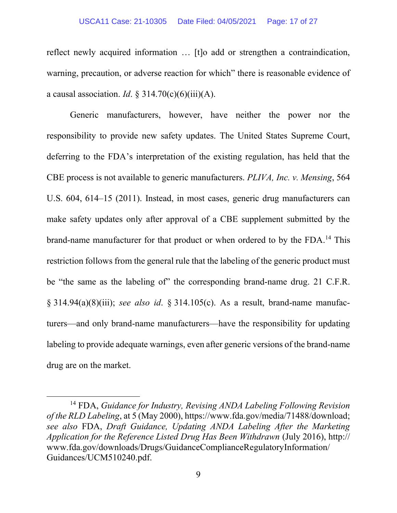#### USCA11 Case: 21-10305 Date Filed: 04/05/2021 Page: 17 of 27

reflect newly acquired information … [t]o add or strengthen a contraindication, warning, precaution, or adverse reaction for which" there is reasonable evidence of a causal association. *Id*. § 314.70(c)(6)(iii)(A).

Generic manufacturers, however, have neither the power nor the responsibility to provide new safety updates. The United States Supreme Court, deferring to the FDA's interpretation of the existing regulation, has held that the CBE process is not available to generic manufacturers. *PLIVA, Inc. v. Mensing*, 564 U.S. 604, 614–15 (2011). Instead, in most cases, generic drug manufacturers can make safety updates only after approval of a CBE supplement submitted by the brand-name manufacturer for that product or when ordered to by the FDA.<sup>14</sup> This restriction follows from the general rule that the labeling of the generic product must be "the same as the labeling of" the corresponding brand-name drug. 21 C.F.R. § 314.94(a)(8)(iii); *see also id*. § 314.105(c). As a result, brand-name manufacturers—and only brand-name manufacturers—have the responsibility for updating labeling to provide adequate warnings, even after generic versions of the brand-name drug are on the market.

<sup>14</sup> FDA, *Guidance for Industry, Revising ANDA Labeling Following Revision of the RLD Labeling*, at 5 (May 2000), https://www.fda.gov/media/71488/download; *see also* FDA, *Draft Guidance, Updating ANDA Labeling After the Marketing Application for the Reference Listed Drug Has Been Withdrawn* (July 2016), http:// www.fda.gov/downloads/Drugs/GuidanceComplianceRegulatoryInformation/ Guidances/UCM510240.pdf.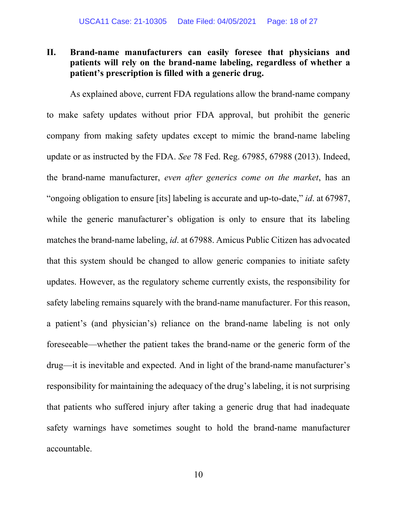### **II. Brand-name manufacturers can easily foresee that physicians and patients will rely on the brand-name labeling, regardless of whether a patient's prescription is filled with a generic drug.**

As explained above, current FDA regulations allow the brand-name company to make safety updates without prior FDA approval, but prohibit the generic company from making safety updates except to mimic the brand-name labeling update or as instructed by the FDA. *See* 78 Fed. Reg. 67985, 67988 (2013). Indeed, the brand-name manufacturer, *even after generics come on the market*, has an "ongoing obligation to ensure [its] labeling is accurate and up-to-date," *id*. at 67987, while the generic manufacturer's obligation is only to ensure that its labeling matches the brand-name labeling, *id*. at 67988. Amicus Public Citizen has advocated that this system should be changed to allow generic companies to initiate safety updates. However, as the regulatory scheme currently exists, the responsibility for safety labeling remains squarely with the brand-name manufacturer. For this reason, a patient's (and physician's) reliance on the brand-name labeling is not only foreseeable—whether the patient takes the brand-name or the generic form of the drug—it is inevitable and expected. And in light of the brand-name manufacturer's responsibility for maintaining the adequacy of the drug's labeling, it is not surprising that patients who suffered injury after taking a generic drug that had inadequate safety warnings have sometimes sought to hold the brand-name manufacturer accountable.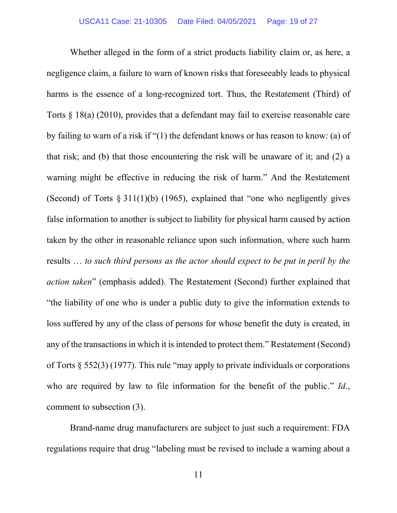Whether alleged in the form of a strict products liability claim or, as here, a negligence claim, a failure to warn of known risks that foreseeably leads to physical harms is the essence of a long-recognized tort. Thus, the Restatement (Third) of Torts § 18(a) (2010), provides that a defendant may fail to exercise reasonable care by failing to warn of a risk if "(1) the defendant knows or has reason to know: (a) of that risk; and (b) that those encountering the risk will be unaware of it; and (2) a warning might be effective in reducing the risk of harm." And the Restatement (Second) of Torts  $\S 311(1)(b)$  (1965), explained that "one who negligently gives false information to another is subject to liability for physical harm caused by action taken by the other in reasonable reliance upon such information, where such harm results … *to such third persons as the actor should expect to be put in peril by the action taken*" (emphasis added). The Restatement (Second) further explained that "the liability of one who is under a public duty to give the information extends to loss suffered by any of the class of persons for whose benefit the duty is created, in any of the transactions in which it is intended to protect them." Restatement (Second) of Torts § 552(3) (1977). This rule "may apply to private individuals or corporations who are required by law to file information for the benefit of the public." *Id*., comment to subsection (3).

Brand-name drug manufacturers are subject to just such a requirement: FDA regulations require that drug "labeling must be revised to include a warning about a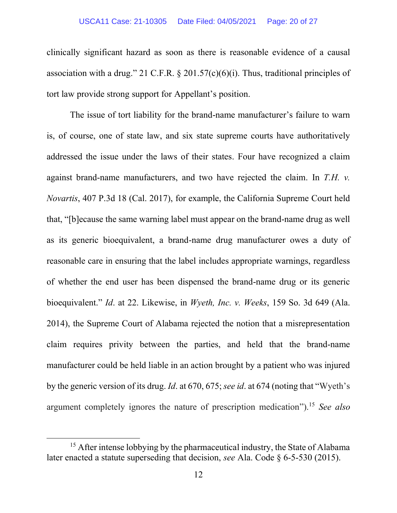clinically significant hazard as soon as there is reasonable evidence of a causal association with a drug." 21 C.F.R.  $\S 201.57(c)(6)(i)$ . Thus, traditional principles of tort law provide strong support for Appellant's position.

The issue of tort liability for the brand-name manufacturer's failure to warn is, of course, one of state law, and six state supreme courts have authoritatively addressed the issue under the laws of their states. Four have recognized a claim against brand-name manufacturers, and two have rejected the claim. In *T.H. v. Novartis*, 407 P.3d 18 (Cal. 2017), for example, the California Supreme Court held that, "[b]ecause the same warning label must appear on the brand-name drug as well as its generic bioequivalent, a brand-name drug manufacturer owes a duty of reasonable care in ensuring that the label includes appropriate warnings, regardless of whether the end user has been dispensed the brand-name drug or its generic bioequivalent." *Id*. at 22. Likewise, in *Wyeth, Inc. v. Weeks*, 159 So. 3d 649 (Ala. 2014), the Supreme Court of Alabama rejected the notion that a misrepresentation claim requires privity between the parties, and held that the brand-name manufacturer could be held liable in an action brought by a patient who was injured by the generic version of its drug. *Id*. at 670, 675; *see id*. at 674 (noting that "Wyeth's argument completely ignores the nature of prescription medication"). <sup>15</sup> *See also*

<sup>&</sup>lt;sup>15</sup> After intense lobbying by the pharmaceutical industry, the State of Alabama later enacted a statute superseding that decision, *see* Ala. Code § 6-5-530 (2015).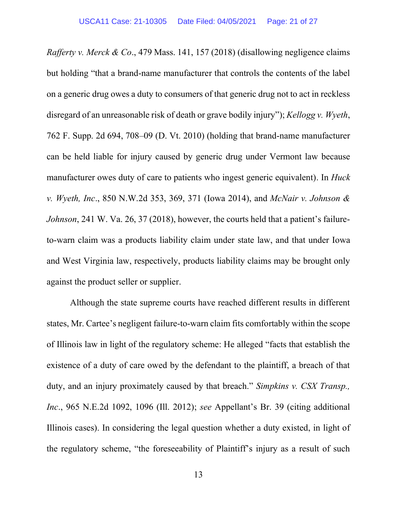*Rafferty v. Merck & Co*., 479 Mass. 141, 157 (2018) (disallowing negligence claims but holding "that a brand-name manufacturer that controls the contents of the label on a generic drug owes a duty to consumers of that generic drug not to act in reckless disregard of an unreasonable risk of death or grave bodily injury"); *Kellogg v. Wyeth*, 762 F. Supp. 2d 694, 708–09 (D. Vt. 2010) (holding that brand-name manufacturer can be held liable for injury caused by generic drug under Vermont law because manufacturer owes duty of care to patients who ingest generic equivalent). In *Huck v. Wyeth, Inc*., 850 N.W.2d 353, 369, 371 (Iowa 2014), and *McNair v. Johnson & Johnson*, 241 W. Va. 26, 37 (2018), however, the courts held that a patient's failureto-warn claim was a products liability claim under state law, and that under Iowa and West Virginia law, respectively, products liability claims may be brought only against the product seller or supplier.

Although the state supreme courts have reached different results in different states, Mr. Cartee's negligent failure-to-warn claim fits comfortably within the scope of Illinois law in light of the regulatory scheme: He alleged "facts that establish the existence of a duty of care owed by the defendant to the plaintiff, a breach of that duty, and an injury proximately caused by that breach." *Simpkins v. CSX Transp., Inc*., 965 N.E.2d 1092, 1096 (Ill. 2012); *see* Appellant's Br. 39 (citing additional Illinois cases). In considering the legal question whether a duty existed, in light of the regulatory scheme, "the foreseeability of Plaintiff's injury as a result of such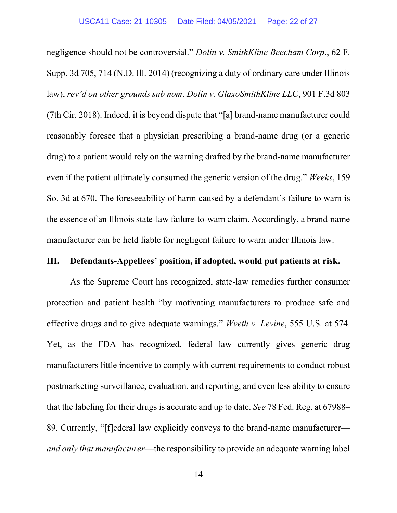negligence should not be controversial." *Dolin v. SmithKline Beecham Corp*., 62 F. Supp. 3d 705, 714 (N.D. Ill. 2014) (recognizing a duty of ordinary care under Illinois law), *rev'd on other grounds sub nom*. *Dolin v. GlaxoSmithKline LLC*, 901 F.3d 803 (7th Cir. 2018). Indeed, it is beyond dispute that "[a] brand-name manufacturer could reasonably foresee that a physician prescribing a brand-name drug (or a generic drug) to a patient would rely on the warning drafted by the brand-name manufacturer even if the patient ultimately consumed the generic version of the drug." *Weeks*, 159 So. 3d at 670. The foreseeability of harm caused by a defendant's failure to warn is the essence of an Illinois state-law failure-to-warn claim. Accordingly, a brand-name manufacturer can be held liable for negligent failure to warn under Illinois law.

#### **III. Defendants-Appellees' position, if adopted, would put patients at risk.**

As the Supreme Court has recognized, state-law remedies further consumer protection and patient health "by motivating manufacturers to produce safe and effective drugs and to give adequate warnings." *Wyeth v. Levine*, 555 U.S. at 574. Yet, as the FDA has recognized, federal law currently gives generic drug manufacturers little incentive to comply with current requirements to conduct robust postmarketing surveillance, evaluation, and reporting, and even less ability to ensure that the labeling for their drugs is accurate and up to date. *See* 78 Fed. Reg. at 67988– 89. Currently, "[f]ederal law explicitly conveys to the brand-name manufacturer *and only that manufacturer*—the responsibility to provide an adequate warning label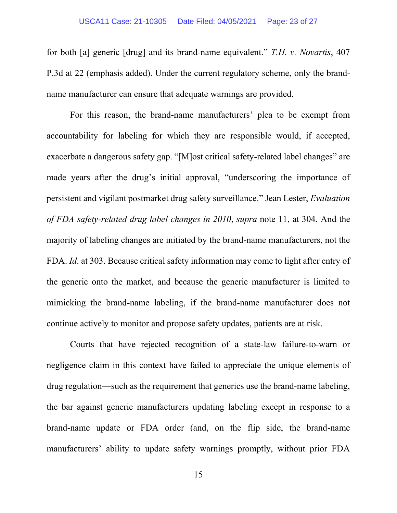for both [a] generic [drug] and its brand-name equivalent." *T.H. v. Novartis*, 407 P.3d at 22 (emphasis added). Under the current regulatory scheme, only the brandname manufacturer can ensure that adequate warnings are provided.

For this reason, the brand-name manufacturers' plea to be exempt from accountability for labeling for which they are responsible would, if accepted, exacerbate a dangerous safety gap. "[M]ost critical safety-related label changes" are made years after the drug's initial approval, "underscoring the importance of persistent and vigilant postmarket drug safety surveillance." Jean Lester, *Evaluation of FDA safety-related drug label changes in 2010*, *supra* note 11, at 304. And the majority of labeling changes are initiated by the brand-name manufacturers, not the FDA. *Id*. at 303. Because critical safety information may come to light after entry of the generic onto the market, and because the generic manufacturer is limited to mimicking the brand-name labeling, if the brand-name manufacturer does not continue actively to monitor and propose safety updates, patients are at risk.

Courts that have rejected recognition of a state-law failure-to-warn or negligence claim in this context have failed to appreciate the unique elements of drug regulation—such as the requirement that generics use the brand-name labeling, the bar against generic manufacturers updating labeling except in response to a brand-name update or FDA order (and, on the flip side, the brand-name manufacturers' ability to update safety warnings promptly, without prior FDA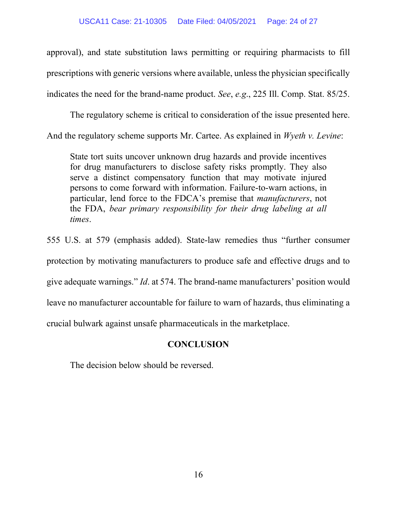approval), and state substitution laws permitting or requiring pharmacists to fill prescriptions with generic versions where available, unless the physician specifically indicates the need for the brand-name product. *See*, *e.g*., 225 Ill. Comp. Stat. 85/25.

The regulatory scheme is critical to consideration of the issue presented here. And the regulatory scheme supports Mr. Cartee. As explained in *Wyeth v. Levine*:

State tort suits uncover unknown drug hazards and provide incentives for drug manufacturers to disclose safety risks promptly. They also serve a distinct compensatory function that may motivate injured persons to come forward with information. Failure-to-warn actions, in particular, lend force to the FDCA's premise that *manufacturers*, not the FDA, *bear primary responsibility for their drug labeling at all times*.

555 U.S. at 579 (emphasis added). State-law remedies thus "further consumer protection by motivating manufacturers to produce safe and effective drugs and to give adequate warnings." *Id*. at 574. The brand-name manufacturers' position would leave no manufacturer accountable for failure to warn of hazards, thus eliminating a crucial bulwark against unsafe pharmaceuticals in the marketplace.

# **CONCLUSION**

The decision below should be reversed.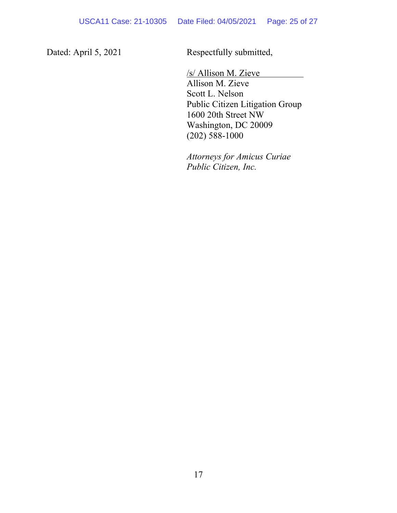Dated: April 5, 2021 Respectfully submitted,

/s/ Allison M. Zieve Allison M. Zieve Scott L. Nelson Public Citizen Litigation Group 1600 20th Street NW Washington, DC 20009 (202) 588-1000

*Attorneys for Amicus Curiae Public Citizen, Inc.*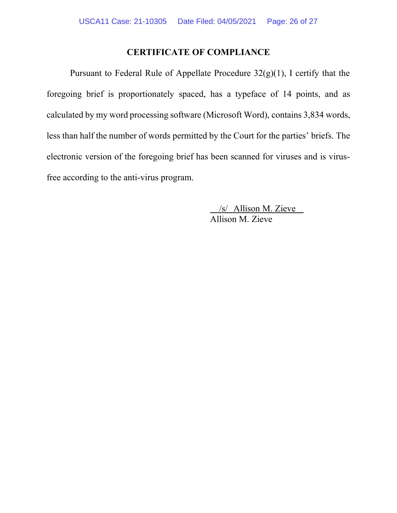### **CERTIFICATE OF COMPLIANCE**

Pursuant to Federal Rule of Appellate Procedure 32(g)(1), I certify that the foregoing brief is proportionately spaced, has a typeface of 14 points, and as calculated by my word processing software (Microsoft Word), contains 3,834 words, less than half the number of words permitted by the Court for the parties' briefs. The electronic version of the foregoing brief has been scanned for viruses and is virusfree according to the anti-virus program.

> /s/ Allison M. Zieve Allison M. Zieve